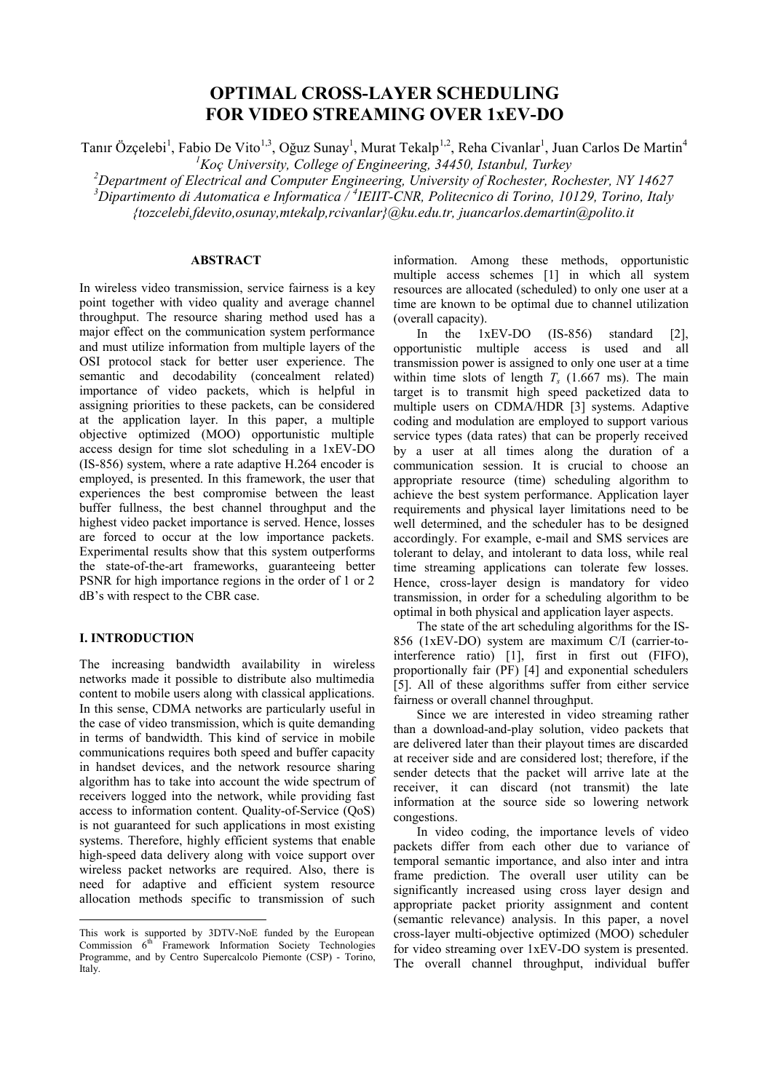# **OPTIMAL CROSS-LAYER SCHEDULING FOR VIDEO STREAMING OVER 1xEV-DO**

Tanır Özçelebi<sup>1</sup>, Fabio De Vito<sup>1,3</sup>, Oğuz Sunay<sup>1</sup>, Murat Tekalp<sup>1,2</sup>, Reha Civanlar<sup>1</sup>, Juan Carlos De Martin<sup>4</sup> *<sup>1</sup>Koç University, College of Engineering, 34450, Istanbul, Turkey* 

*<sup>2</sup>Department of Electrical and Computer Engineering, University of Rochester, Rochester, NY 14627 <sup>3</sup>Dipartimento di Automatica e Informatica / <sup>4</sup> IEIIT-CNR, Politecnico di Torino, 10129, Torino, Italy* 

*{tozcelebi,fdevito,osunay,mtekalp,rcivanlar}@ku.edu.tr, juancarlos.demartin@polito.it* 

## **ABSTRACT.**

In wireless video transmission, service fairness is a key point together with video quality and average channel throughput. The resource sharing method used has a major effect on the communication system performance and must utilize information from multiple layers of the OSI protocol stack for better user experience. The semantic and decodability (concealment related) importance of video packets, which is helpful in assigning priorities to these packets, can be considered at the application layer. In this paper, a multiple objective optimized (MOO) opportunistic multiple access design for time slot scheduling in a 1xEV-DO (IS-856) system, where a rate adaptive H.264 encoder is employed, is presented. In this framework, the user that experiences the best compromise between the least buffer fullness, the best channel throughput and the highest video packet importance is served. Hence, losses are forced to occur at the low importance packets. Experimental results show that this system outperforms the state-of-the-art frameworks, guaranteeing better PSNR for high importance regions in the order of 1 or 2 dB's with respect to the CBR case.

### **I. INTRODUCTION**

 $\overline{a}$ 

The increasing bandwidth availability in wireless networks made it possible to distribute also multimedia content to mobile users along with classical applications. In this sense, CDMA networks are particularly useful in the case of video transmission, which is quite demanding in terms of bandwidth. This kind of service in mobile communications requires both speed and buffer capacity in handset devices, and the network resource sharing algorithm has to take into account the wide spectrum of receivers logged into the network, while providing fast access to information content. Quality-of-Service (QoS) is not guaranteed for such applications in most existing systems. Therefore, highly efficient systems that enable high-speed data delivery along with voice support over wireless packet networks are required. Also, there is need for adaptive and efficient system resource allocation methods specific to transmission of such information. Among these methods, opportunistic multiple access schemes [1] in which all system resources are allocated (scheduled) to only one user at a time are known to be optimal due to channel utilization (overall capacity).

In the 1xEV-DO (IS-856) standard [2], opportunistic multiple access is used and all transmission power is assigned to only one user at a time within time slots of length  $T_s$  (1.667 ms). The main target is to transmit high speed packetized data to multiple users on CDMA/HDR [3] systems. Adaptive coding and modulation are employed to support various service types (data rates) that can be properly received by a user at all times along the duration of a communication session. It is crucial to choose an appropriate resource (time) scheduling algorithm to achieve the best system performance. Application layer requirements and physical layer limitations need to be well determined, and the scheduler has to be designed accordingly. For example, e-mail and SMS services are tolerant to delay, and intolerant to data loss, while real time streaming applications can tolerate few losses. Hence, cross-layer design is mandatory for video transmission, in order for a scheduling algorithm to be optimal in both physical and application layer aspects.

The state of the art scheduling algorithms for the IS-856 (1xEV-DO) system are maximum C/I (carrier-tointerference ratio) [1], first in first out (FIFO), proportionally fair (PF) [4] and exponential schedulers [5]. All of these algorithms suffer from either service fairness or overall channel throughput.

Since we are interested in video streaming rather than a download-and-play solution, video packets that are delivered later than their playout times are discarded at receiver side and are considered lost; therefore, if the sender detects that the packet will arrive late at the receiver, it can discard (not transmit) the late information at the source side so lowering network congestions.

In video coding, the importance levels of video packets differ from each other due to variance of temporal semantic importance, and also inter and intra frame prediction. The overall user utility can be significantly increased using cross layer design and appropriate packet priority assignment and content (semantic relevance) analysis. In this paper, a novel cross-layer multi-objective optimized (MOO) scheduler for video streaming over 1xEV-DO system is presented. The overall channel throughput, individual buffer

This work is supported by 3DTV-NoE funded by the European Commission  $6<sup>th</sup>$  Framework Information Society Technologies Programme, and by Centro Supercalcolo Piemonte (CSP) - Torino, Italy.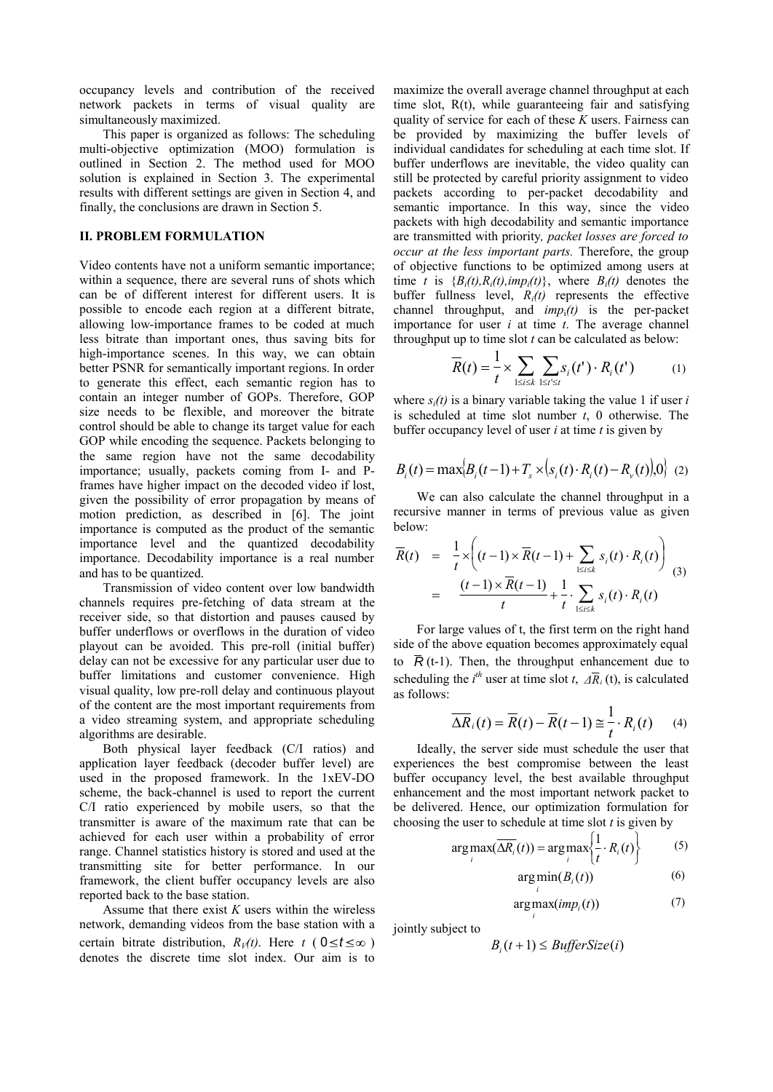occupancy levels and contribution of the received network packets in terms of visual quality are simultaneously maximized.

This paper is organized as follows: The scheduling multi-objective optimization (MOO) formulation is outlined in Section 2. The method used for MOO solution is explained in Section 3. The experimental results with different settings are given in Section 4, and finally, the conclusions are drawn in Section 5.

#### **II. PROBLEM FORMULATION**

Video contents have not a uniform semantic importance; within a sequence, there are several runs of shots which can be of different interest for different users. It is possible to encode each region at a different bitrate, allowing low-importance frames to be coded at much less bitrate than important ones, thus saving bits for high-importance scenes. In this way, we can obtain better PSNR for semantically important regions. In order to generate this effect, each semantic region has to contain an integer number of GOPs. Therefore, GOP size needs to be flexible, and moreover the bitrate control should be able to change its target value for each GOP while encoding the sequence. Packets belonging to the same region have not the same decodability importance; usually, packets coming from I- and Pframes have higher impact on the decoded video if lost, given the possibility of error propagation by means of motion prediction, as described in [6]. The joint importance is computed as the product of the semantic importance level and the quantized decodability importance. Decodability importance is a real number and has to be quantized.

Transmission of video content over low bandwidth channels requires pre-fetching of data stream at the receiver side, so that distortion and pauses caused by buffer underflows or overflows in the duration of video playout can be avoided. This pre-roll (initial buffer) delay can not be excessive for any particular user due to buffer limitations and customer convenience. High visual quality, low pre-roll delay and continuous playout of the content are the most important requirements from a video streaming system, and appropriate scheduling algorithms are desirable.

Both physical layer feedback (C/I ratios) and application layer feedback (decoder buffer level) are used in the proposed framework. In the 1xEV-DO scheme, the back-channel is used to report the current C/I ratio experienced by mobile users, so that the transmitter is aware of the maximum rate that can be achieved for each user within a probability of error range. Channel statistics history is stored and used at the transmitting site for better performance. In our framework, the client buffer occupancy levels are also reported back to the base station.

Assume that there exist *K* users within the wireless network, demanding videos from the base station with a certain bitrate distribution,  $R_V(t)$ . Here  $t \in (0 \le t \le \infty)$ denotes the discrete time slot index. Our aim is to maximize the overall average channel throughput at each time slot, R(t), while guaranteeing fair and satisfying quality of service for each of these *K* users. Fairness can be provided by maximizing the buffer levels of individual candidates for scheduling at each time slot. If buffer underflows are inevitable, the video quality can still be protected by careful priority assignment to video packets according to per-packet decodability and semantic importance. In this way, since the video packets with high decodability and semantic importance are transmitted with priority*, packet losses are forced to occur at the less important parts.* Therefore, the group of objective functions to be optimized among users at time *t* is  ${B_i(t), R_i(t), imp_i(t)}$ , where  $B_i(t)$  denotes the buffer fullness level, *Ri(t)* represents the effective channel throughput, and  $imp_i(t)$  is the per-packet importance for user *i* at time *t*. The average channel throughput up to time slot *t* can be calculated as below:

$$
\overline{R}(t) = \frac{1}{t} \times \sum_{1 \le i \le k} \sum_{1 \le t' \le t} s_i(t') \cdot R_i(t')
$$
 (1)

where  $s_i(t)$  is a binary variable taking the value 1 if user *i* is scheduled at time slot number *t*, 0 otherwise. The buffer occupancy level of user *i* at time *t* is given by

$$
B_i(t) = \max \Bigl\{ B_i(t-1) + T_s \times (s_i(t) \cdot R_i(t) - R_v(t)) \Bigl\} \quad (2)
$$

We can also calculate the channel throughput in a recursive manner in terms of previous value as given below:

$$
\overline{R}(t) = \frac{1}{t} \times \left( (t-1) \times \overline{R}(t-1) + \sum_{1 \le i \le k} s_i(t) \cdot R_i(t) \right)
$$
\n
$$
= \frac{(t-1) \times \overline{R}(t-1)}{t} + \frac{1}{t} \cdot \sum_{1 \le i \le k} s_i(t) \cdot R_i(t)
$$
\n(3)

For large values of t, the first term on the right hand side of the above equation becomes approximately equal to  $\overline{R}$  (t-1). Then, the throughput enhancement due to scheduling the  $i^{th}$  user at time slot *t*,  $\overline{AR}_i$  (t), is calculated as follows:

$$
\overline{\Delta R}_i(t) = \overline{R}(t) - \overline{R}(t-1) \cong \frac{1}{t} \cdot R_i(t) \qquad (4)
$$

Ideally, the server side must schedule the user that experiences the best compromise between the least buffer occupancy level, the best available throughput enhancement and the most important network packet to be delivered. Hence, our optimization formulation for choosing the user to schedule at time slot *t* is given by

$$
\arg \max_{i} (\overline{\Delta R_i}(t)) = \arg \max_{i} \left\{ \frac{1}{t} \cdot R_i(t) \right\} \tag{5}
$$

$$
\arg\min_{i} (B_i(t))
$$
 (6)

$$
\underset{i}{\arg\max}(imp_i(t))\tag{7}
$$

jointly subject to

$$
B_i(t+1) \leq \mathit{BufferSize}(i)
$$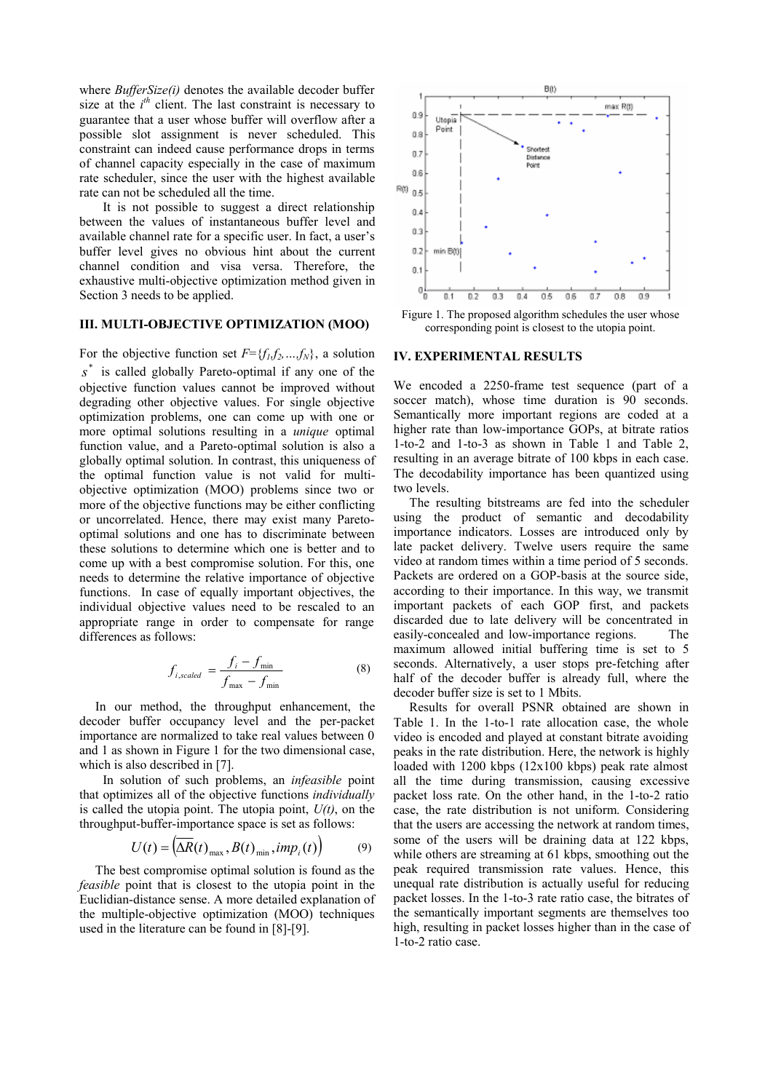where *BufferSize(i)* denotes the available decoder buffer size at the  $i<sup>th</sup>$  client. The last constraint is necessary to guarantee that a user whose buffer will overflow after a possible slot assignment is never scheduled. This constraint can indeed cause performance drops in terms of channel capacity especially in the case of maximum rate scheduler, since the user with the highest available rate can not be scheduled all the time.

It is not possible to suggest a direct relationship between the values of instantaneous buffer level and available channel rate for a specific user. In fact, a user's buffer level gives no obvious hint about the current channel condition and visa versa. Therefore, the exhaustive multi-objective optimization method given in Section 3 needs to be applied.

## **III. MULTI-OBJECTIVE OPTIMIZATION (MOO)**

For the objective function set  $F = \{f_1, f_2, ..., f_N\}$ , a solution s<sup>\*</sup> is called globally Pareto-optimal if any one of the objective function values cannot be improved without degrading other objective values. For single objective optimization problems, one can come up with one or more optimal solutions resulting in a *unique* optimal function value, and a Pareto-optimal solution is also a globally optimal solution. In contrast, this uniqueness of the optimal function value is not valid for multiobjective optimization (MOO) problems since two or more of the objective functions may be either conflicting or uncorrelated. Hence, there may exist many Paretooptimal solutions and one has to discriminate between these solutions to determine which one is better and to come up with a best compromise solution. For this, one needs to determine the relative importance of objective functions. In case of equally important objectives, the individual objective values need to be rescaled to an appropriate range in order to compensate for range differences as follows:

$$
f_{i, scaled} = \frac{f_i - f_{\min}}{f_{\max} - f_{\min}}
$$
 (8)

In our method, the throughput enhancement, the decoder buffer occupancy level and the per-packet importance are normalized to take real values between 0 and 1 as shown in Figure 1 for the two dimensional case, which is also described in [7].

In solution of such problems, an *infeasible* point that optimizes all of the objective functions *individually* is called the utopia point. The utopia point,  $U(t)$ , on the throughput-buffer-importance space is set as follows:

$$
U(t) = \left(\Delta R(t)_{\text{max}}, B(t)_{\text{min}}, imp_i(t)\right) \tag{9}
$$

The best compromise optimal solution is found as the *feasible* point that is closest to the utopia point in the Euclidian-distance sense. A more detailed explanation of the multiple-objective optimization (MOO) techniques used in the literature can be found in [8]-[9].



Figure 1. The proposed algorithm schedules the user whose corresponding point is closest to the utopia point.

#### **IV. EXPERIMENTAL RESULTS**

We encoded a 2250-frame test sequence (part of a soccer match), whose time duration is 90 seconds. Semantically more important regions are coded at a higher rate than low-importance GOPs, at bitrate ratios 1-to-2 and 1-to-3 as shown in Table 1 and Table 2, resulting in an average bitrate of 100 kbps in each case. The decodability importance has been quantized using two levels.

The resulting bitstreams are fed into the scheduler using the product of semantic and decodability importance indicators. Losses are introduced only by late packet delivery. Twelve users require the same video at random times within a time period of 5 seconds. Packets are ordered on a GOP-basis at the source side, according to their importance. In this way, we transmit important packets of each GOP first, and packets discarded due to late delivery will be concentrated in easily-concealed and low-importance regions. The maximum allowed initial buffering time is set to 5 seconds. Alternatively, a user stops pre-fetching after half of the decoder buffer is already full, where the decoder buffer size is set to 1 Mbits.

Results for overall PSNR obtained are shown in Table 1. In the 1-to-1 rate allocation case, the whole video is encoded and played at constant bitrate avoiding peaks in the rate distribution. Here, the network is highly loaded with 1200 kbps (12x100 kbps) peak rate almost all the time during transmission, causing excessive packet loss rate. On the other hand, in the 1-to-2 ratio case, the rate distribution is not uniform. Considering that the users are accessing the network at random times, some of the users will be draining data at 122 kbps, while others are streaming at 61 kbps, smoothing out the peak required transmission rate values. Hence, this unequal rate distribution is actually useful for reducing packet losses. In the 1-to-3 rate ratio case, the bitrates of the semantically important segments are themselves too high, resulting in packet losses higher than in the case of 1-to-2 ratio case.